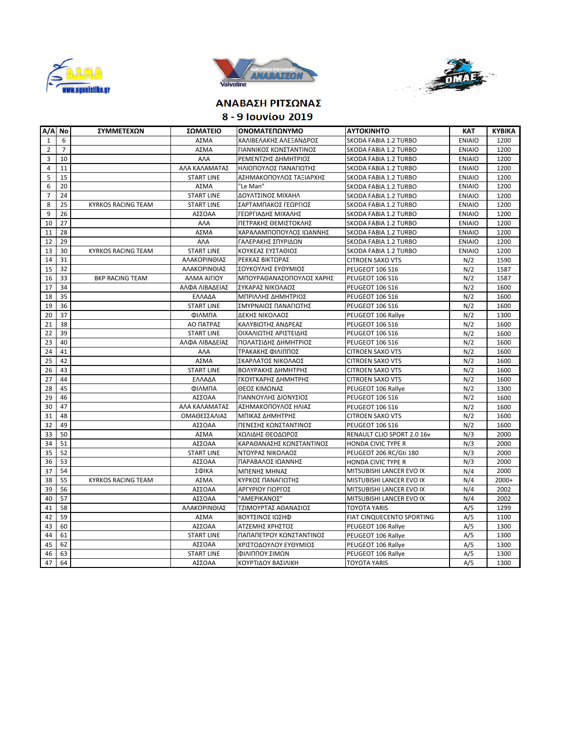





## **ΑΝΑΒΑΣΗ ΡΙΤΣΩΝΑΣ**

**8 - 9 Ιουνίου 2019** 

| A/A No         |                | ΣΥΜΜΕΤΕΧΩΝ                | ΣΩΜΑΤΕΙΟ          | ΟΝΟΜΑΤΕΠΩΝΥΜΟ            | <b>AYTOKINHTO</b>          | <b>KAT</b>    | <b>KYBIKA</b> |
|----------------|----------------|---------------------------|-------------------|--------------------------|----------------------------|---------------|---------------|
| $\mathbf{1}$   | 6              |                           | ΑΣΜΑ              | ΧΑΛΙΒΕΛΑΚΗΣ ΑΛΕΞΑΝΔΡΟΣ   | SKODA FABIA 1.2 TURBO      | <b>ENIAIO</b> | 1200          |
| $\overline{2}$ | $\overline{7}$ |                           | ΑΣΜΑ              | ΓΙΑΝΝΙΚΟΣ ΚΩΝΣΤΑΝΤΙΝΟΣ   | SKODA FABIA 1.2 TURBO      | <b>ENIAIO</b> | 1200          |
| 3              | 10             |                           | A <sub>A</sub>    | ΡΕΜΕΝΤΖΗΣ ΔΗΜΗΤΡΙΟΣ      | SKODA FABIA 1.2 TURBO      | <b>ENIAIO</b> | 1200          |
| 4              | 11             |                           | ΑΛΑ ΚΑΛΑΜΑΤΑΣ     | ΗΛΙΟΠΟΥΛΟΣ ΠΑΝΑΓΙΩΤΗΣ    | SKODA FABIA 1.2 TURBO      | <b>ENIAIO</b> | 1200          |
| 5              | 15             |                           | <b>START LINE</b> | ΑΣΗΜΑΚΟΠΟΥΛΟΣ ΤΑΞΙΑΡΧΗΣ  | SKODA FABIA 1.2 TURBO      | <b>ENIAIO</b> | 1200          |
| 6              | 20             |                           | ΑΣΜΑ              | "Le Man"                 | SKODA FABIA 1.2 TURBO      | <b>ENIAIO</b> | 1200          |
| $\overline{7}$ | 24             |                           | <b>START LINE</b> | ΔΟΥΛΤΣΙΝΟΣ ΜΙΧΑΗΛ        | SKODA FABIA 1.2 TURBO      | <b>ENIAIO</b> | 1200          |
| 8              | 25             | <b>KYRKOS RACING TEAM</b> | <b>START LINE</b> | ΣΑΡΤΑΜΠΑΚΟΣ ΓΕΩΡΓΙΟΣ     | SKODA FABIA 1.2 TURBO      | <b>ENIAIO</b> | 1200          |
| 9              | 26             |                           | ΑΣΣΟΑΑ            | ΓΕΩΡΓΙΑΔΗΣ ΜΙΧΑΛΗΣ       | SKODA FABIA 1.2 TURBO      | <b>ENIAIO</b> | 1200          |
| 10             | 27             |                           | AAA               | ΠΕΤΡΑΚΗΣ ΘΕΜΙΣΤΟΚΛΗΣ     | SKODA FABIA 1.2 TURBO      | <b>ENIAIO</b> | 1200          |
| 11             | 28             |                           | ΑΣΜΑ              | ΧΑΡΑΛΑΜΠΟΠΟΥΛΟΣ ΙΩΑΝΝΗΣ  | SKODA FABIA 1.2 TURBO      | <b>ENIAIO</b> | 1200          |
| 12             | 29             |                           | AAA               | ΓΑΛΕΡΑΚΗΣ ΣΠΥΡΙΔΩΝ       | SKODA FABIA 1.2 TURBO      | <b>ENIAIO</b> | 1200          |
| 13             | 30             | <b>KYRKOS RACING TEAM</b> | <b>START LINE</b> | ΚΟΥΚΕΑΣ ΕΥΣΤΑΘΙΟΣ        | SKODA FABIA 1.2 TURBO      | <b>ENIAIO</b> | 1200          |
| 14             | 31             |                           | ΑΛΑΚΟΡΙΝΘΙΑΣ      | ΡΕΚΚΑΣ ΒΙΚΤΩΡΑΣ          | <b>CITROEN SAXO VTS</b>    | N/2           | 1590          |
| 15             | 32             |                           | ΑΛΑΚΟΡΙΝΘΙΑΣ      | ΣΟΥΚΟΥΛΗΣ ΕΥΘΥΜΙΟΣ       | PEUGEOT 106 S16            | N/2           | 1587          |
| 16             | 33             | <b>BKP RACING TEAM</b>    | ΑΛΜΑ ΑΙΓΙΟΥ       | ΜΠΟΥΡΑΘΑΝΑΣΟΠΟΥΛΟΣ ΧΑΡΗΣ | PEUGEOT 106 S16            | N/2           | 1587          |
| 17             | 34             |                           | ΑΛΦΑ ΛΙΒΑΔΕΙΑΣ    | ΣΥΚΑΡΑΣ ΝΙΚΟΛΑΟΣ         | PEUGEOT 106 S16            | N/2           | 1600          |
| 18             | 35             |                           | ΕΛΛΑΔΑ            | ΜΠΡΙΛΛΗΣ ΔΗΜΗΤΡΙΟΣ       | PEUGEOT 106 S16            | N/2           | 1600          |
| 19             | 36             |                           | <b>START LINE</b> | ΣΜΥΡΝΑΙΟΣ ΠΑΝΑΓΙΩΤΗΣ     | PEUGEOT 106 S16            | N/2           | 1600          |
| 20             | 37             |                           | ΦΙΛΜΠΑ            | ΔΕΚΗΣ ΝΙΚΟΛΑΟΣ           | PEUGEOT 106 Rallye         | N/2           | 1300          |
| 21             | 38             |                           | ΑΟ ΠΑΤΡΑΣ         | ΚΑΛΥΒΙΩΤΗΣ ΑΝΔΡΕΑΣ       | PEUGEOT 106 S16            | N/2           | 1600          |
| 22             | 39             |                           | <b>START LINE</b> | ΟΙΧΑΛΙΩΤΗΣ ΑΡΙΣΤΕΙΔΗΣ    | PEUGEOT 106 S16            | N/2           | 1600          |
| 23             | 40             |                           | ΑΛΦΑ ΛΙΒΑΔΕΙΑΣ    | ΠΟΛΑΤΣΙΔΗΣ ΔΗΜΗΤΡΙΟΣ     | PEUGEOT 106 S16            | N/2           | 1600          |
| 24             | 41             |                           | AAA               | ΤΡΑΚΑΚΗΣ ΦΙΛΙΠΠΟΣ        | <b>CITROEN SAXO VTS</b>    | N/2           | 1600          |
| 25             | 42             |                           | ΑΣΜΑ              | ΣΚΑΡΛΑΤΟΣ ΝΙΚΟΛΑΟΣ       | <b>CITROEN SAXO VTS</b>    | N/2           | 1600          |
| 26             | 43             |                           | <b>START LINE</b> | ΒΟΛΥΡΑΚΗΣ ΔΗΜΗΤΡΗΣ       | <b>CITROEN SAXO VTS</b>    | N/2           | 1600          |
| 27             | 44             |                           | ΕΛΛΑΔΑ            | ΓΚΟΥΓΚΑΡΗΣ ΔΗΜΗΤΡΗΣ      | <b>CITROEN SAXO VTS</b>    | N/2           | 1600          |
| 28             | 45             |                           | ΦΙΛΜΠΑ            | ΘΕΟΣ ΚΙΜΩΝΑΣ             | PEUGEOT 106 Rallye         | N/2           | 1300          |
| 29             | 46             |                           | ΑΣΣΟΑΑ            | ΓΙΑΝΝΟΥΛΗΣ ΔΙΟΝΥΣΙΟΣ     | PEUGEOT 106 S16            | N/2           | 1600          |
| 30             | 47             |                           | ΑΛΑ ΚΑΛΑΜΑΤΑΣ     | ΑΣΗΜΑΚΟΠΟΥΛΟΣ ΗΛΙΑΣ      | PEUGEOT 106 S16            | N/2           | 1600          |
| 31             | 48             |                           | ΟΜΑΘΕΣΣΑΛΙΑΣ      | ΜΠΙΚΑΣ ΔΗΜΗΤΡΗΣ          | <b>CITROEN SAXO VTS</b>    | N/2           | 1600          |
| 32             | 49             |                           | ΑΣΣΟΑΑ            | ΠΕΝΕΣΗΣ ΚΩΝΣΤΑΝΤΙΝΟΣ     | PEUGEOT 106 S16            | N/2           | 1600          |
| 33             | 50             |                           | ΑΣΜΑ              | ΧΩΛΙΔΗΣ ΘΕΟΔΩΡΟΣ         | RENAULT CLIO SPORT 2.0 16v | N/3           | 2000          |
| 34             | 51             |                           | ΑΣΣΟΑΑ            | ΚΑΡΑΘΑΝΑΣΗΣ ΚΩΝΣΤΑΝΤΙΝΟΣ | <b>HONDA CIVIC TYPE R</b>  | N/3           | 2000          |
| 35             | 52             |                           | <b>START LINE</b> | ΝΤΟΥΡΑΣ ΝΙΚΟΛΑΟΣ         | PEUGEOT 206 RC/Gti 180     | N/3           | 2000          |
| 36             | 53             |                           | ΑΣΣΟΑΑ            | ΠΑΡΑΒΑΛΟΣ ΙΩΑΝΝΗΣ        | HONDA CIVIC TYPE R         | N/3           | 2000          |
| 37             | 54             |                           | ΣΦΙΚΑ             | ΜΠΕΝΗΣ ΜΗΝΑΣ             | MITSUBISHI LANCER EVO IX   | N/4           | 2000          |
| 38             | 55             | <b>KYRKOS RACING TEAM</b> | ΑΣΜΑ              | ΚΥΡΚΟΣ ΠΑΝΑΓΙΩΤΗΣ        | MISTUBISHI LANCER EVO IX   | N/4           | $2000+$       |
| 39             | 56             |                           | ΑΣΣΟΑΑ            | ΑΡΓΥΡΙΟΥ ΓΙΩΡΓΟΣ         | MITSUBISHI LANCER EVO IX   | N/4           | 2002          |
| 40             | 57             |                           | ΑΣΣΟΑΑ            | "ΑΜΕΡΙΚΑΝΟΣ"             | MITSUBISHI LANCER EVO IX   | N/4           | 2002          |
| 41             | 58             |                           | ΑΛΑΚΟΡΙΝΘΙΑΣ      | ΤΖΙΜΟΥΡΤΑΣ ΑΘΑΝΑΣΙΟΣ     | <b>TOYOTA YARIS</b>        | A/5           | 1299          |
| 42             | 59             |                           | ΑΣΜΑ              | ΒΟΥΤΣΙΝΟΣ ΙΩΣΗΦ          | FIAT CINQUECENTO SPORTING  | A/5           | 1100          |
| 43             | 60             |                           | ΑΣΣΟΑΑ            | ΑΤΖΕΜΗΣ ΧΡΗΣΤΟΣ          | PEUGEOT 106 Rallye         | A/5           | 1300          |
| 44             | 61             |                           | <b>START LINE</b> | ΠΑΠΑΠΕΤΡΟΥ ΚΩΝΣΤΑΝΤΙΝΟΣ  | PEUGEOT 106 Rallye         | A/5           | 1300          |
| 45             | 62             |                           | ΑΣΣΟΑΑ            | ΧΡΙΣΤΟΔΟΥΛΟΥ ΕΥΘΥΜΙΟΣ    | PEUGEOT 106 Rallye         | A/5           | 1300          |
| 46             | 63             |                           | <b>START LINE</b> | ΦΙΛΙΠΠΟΥ ΣΙΜΩΝ           | PEUGEOT 106 Rallye         | A/5           | 1300          |
| 47             | 64             |                           | ΑΣΣΟΑΑ            | ΚΟΥΡΤΙΔΟΥ ΒΑΣΙΛΙΚΗ       | <b>TOYOTA YARIS</b>        | A/5           | 1300          |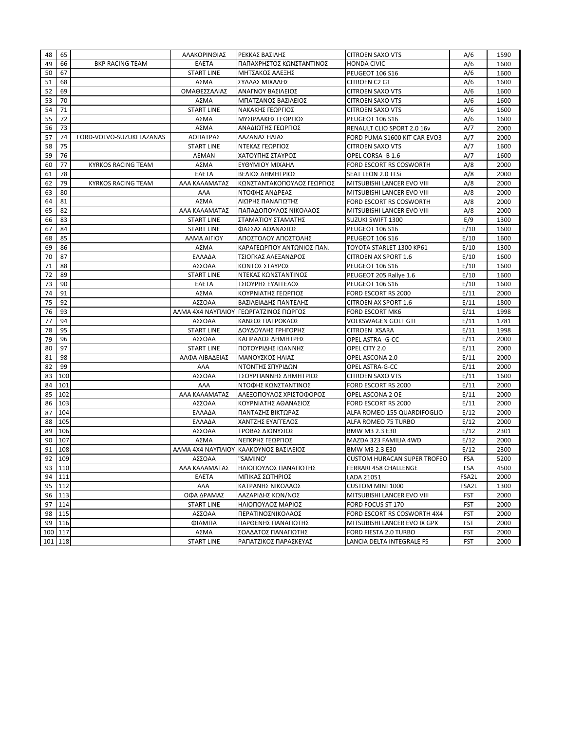| 48       | 65      |                           | ΑΛΑΚΟΡΙΝΘΙΑΣ                        | ΡΕΚΚΑΣ ΒΑΣΙΛΗΣ                         | <b>CITROEN SAXO VTS</b>            | A/6        | 1590 |
|----------|---------|---------------------------|-------------------------------------|----------------------------------------|------------------------------------|------------|------|
| 49       | 66      | <b>BKP RACING TEAM</b>    | <b>ENETA</b>                        | ΠΑΠΑΧΡΗΣΤΟΣ ΚΩΝΣΤΑΝΤΙΝΟΣ               | <b>HONDA CIVIC</b>                 | A/6        | 1600 |
| 50       | 67      |                           | <b>START LINE</b>                   | ΜΗΤΣΑΚΟΣ ΑΛΕΞΗΣ                        | PEUGEOT 106 S16                    | A/6        | 1600 |
| 51       | 68      |                           | ΑΣΜΑ                                | ΣΥΛΛΑΣ ΜΙΧΑΛΗΣ                         | CITROEN C2 GT                      | A/6        | 1600 |
| 52       | 69      |                           | ΟΜΑΘΕΣΣΑΛΙΑΣ                        | ΑΝΑΓΝΟΥ ΒΑΣΙΛΕΙΟΣ                      | <b>CITROEN SAXO VTS</b>            | A/6        | 1600 |
| 53       | 70      |                           | ΑΣΜΑ                                | ΜΠΑΤΖΑΝΟΣ ΒΑΣΙΛΕΙΟΣ                    | <b>CITROEN SAXO VTS</b>            | A/6        | 1600 |
| 54       | 71      |                           | <b>START LINE</b>                   | ΝΑΚΑΚΗΣ ΓΕΩΡΓΙΟΣ                       | <b>CITROEN SAXO VTS</b>            | A/6        | 1600 |
| 55       | 72      |                           | ΑΣΜΑ                                | ΜΥΣΙΡΛΑΚΗΣ ΓΕΩΡΓΙΟΣ                    | PEUGEOT 106 S16                    | A/6        | 1600 |
| 56       | 73      |                           | ΑΣΜΑ                                | ΑΝΑΔΙΩΤΗΣ ΓΕΩΡΓΙΟΣ                     | RENAULT CLIO SPORT 2.0 16v         | A/7        | 2000 |
| 57       | 74      | FORD-VOLVO-SUZUKI LAZANAS | ΑΟΠΑΤΡΑΣ                            | ΛΑΖΑΝΑΣ ΗΛΙΑΣ                          | FORD PUMA S1600 KIT CAR EVO3       | A/7        | 2000 |
| 58       | 75      |                           | <b>START LINE</b>                   | ΝΤΕΚΑΣ ΓΕΩΡΓΙΟΣ                        | <b>CITROEN SAXO VTS</b>            | A/7        | 1600 |
| 59       | 76      |                           | <b><i>AEMAN</i></b>                 | ΧΑΤΟΥΠΗΣ ΣΤΑΥΡΟΣ                       | OPEL CORSA -B 1.6                  | A/7        | 1600 |
| 60       | 77      | <b>KYRKOS RACING TEAM</b> | ΑΣΜΑ                                | ΕΥΘΥΜΙΟΥ ΜΙΧΑΗΛ                        | FORD ESCORT RS COSWORTH            | A/8        | 2000 |
| 61       | 78      |                           | <b>ENETA</b>                        | ΒΕΛΙΟΣ ΔΗΜΗΤΡΙΟΣ                       | SEAT LEON 2.0 TFSi                 | A/8        | 2000 |
| 62       | 79      | <b>KYRKOS RACING TEAM</b> | ΑΛΑ ΚΑΛΑΜΑΤΑΣ                       | ΚΩΝΣΤΑΝΤΑΚΟΠΟΥΛΟΣ ΓΕΩΡΓΙΟΣ             | MITSUBISHI LANCER EVO VIII         | A/8        | 2000 |
| 63       | 80      |                           | AAA                                 | ΝΤΟΦΗΣ ΑΝΔΡΕΑΣ                         | MITSUBISHI LANCER EVO VIII         | A/8        | 2000 |
| 64       | 81      |                           | ΑΣΜΑ                                | ΛΙΩΡΗΣ ΠΑΝΑΓΙΩΤΗΣ                      | FORD ESCORT RS COSWORTH            | A/8        | 2000 |
| 65       | 82      |                           | ΑΛΑ ΚΑΛΑΜΑΤΑΣ                       | ΠΑΠΑΔΟΠΟΥΛΟΣ ΝΙΚΟΛΑΟΣ                  | MITSUBISHI LANCER EVO VIII         | A/8        | 2000 |
| 66       | 83      |                           | <b>START LINE</b>                   | ΣΤΑΜΑΤΙΟΥ ΣΤΑΜΑΤΗΣ                     | SUZUKI SWIFT 1300                  | E/9        | 1300 |
| 67       | 84      |                           | <b>START LINE</b>                   | ΦΑΣΣΑΣ ΑΘΑΝΑΣΙΟΣ                       | PEUGEOT 106 S16                    | E/10       | 1600 |
| 68       | 85      |                           | ΑΛΜΑ ΑΙΓΙΟΥ                         | ΑΠΟΣΤΟΛΟΥ ΑΠΟΣΤΟΛΗΣ                    | <b>PEUGEOT 106 S16</b>             | E/10       | 1600 |
| 69       | 86      |                           | ΑΣΜΑ                                | ΚΑΡΑΓΕΩΡΓΙΟΥ ΑΝΤΩΝΙΟΣ-ΠΑΝ.             | TOYOTA STARLET 1300 KP61           | E/10       | 1300 |
| 70       | 87      |                           | ΕΛΛΑΔΑ                              | ΤΣΙΟΓΚΑΣ ΑΛΕΞΑΝΔΡΟΣ                    | <b>CITROEN AX SPORT 1.6</b>        | E/10       | 1600 |
| 71       | 88      |                           | ΑΣΣΟΑΑ                              | ΚΟΝΤΟΣ ΣΤΑΥΡΟΣ                         | PEUGEOT 106 S16                    | E/10       | 1600 |
| 72       | 89      |                           | <b>START LINE</b>                   | ΝΤΕΚΑΣ ΚΩΝΣΤΑΝΤΙΝΟΣ                    | PEUGEOT 205 Rallye 1.6             | E/10       | 1600 |
| 73       | 90      |                           | <b>ENETA</b>                        | ΤΣΙΟΥΡΗΣ ΕΥΑΓΓΕΛΟΣ                     | PEUGEOT 106 S16                    | E/10       | 1600 |
| 74       | 91      |                           | ΑΣΜΑ                                | ΚΟΥΡΝΙΑΤΗΣ ΓΕΩΡΓΙΟΣ                    | FORD ESCORT RS 2000                | E/11       | 2000 |
| 75       | 92      |                           | ΑΣΣΟΑΑ                              | ΒΑΣΙΛΕΙΑΔΗΣ ΠΑΝΤΕΛΗΣ                   | CITROEN AX SPORT 1.6               | E/11       | 1800 |
| 76       | 93      |                           |                                     | ΑΛΜΑ 4Χ4 ΝΑΥΠΛΙΟΥ ΓΕΩΡΓΑΤΖΙΝΟΣ ΓΙΩΡΓΟΣ | FORD ESCORT MK6                    | E/11       | 1998 |
| 77       | 94      |                           | ΑΣΣΟΑΑ                              | ΚΑΝΣΟΣ ΠΑΤΡΟΚΛΟΣ                       | VOLKSWAGEN GOLF GTI                | E/11       | 1781 |
|          | 95      |                           | <b>START LINE</b>                   |                                        |                                    |            | 1998 |
| 78       | 96      |                           | ΑΣΣΟΑΑ                              | ΔΟΥΔΟΥΛΗΣ ΓΡΗΓΟΡΗΣ                     | CITROEN XSARA                      | E/11       | 2000 |
| 79<br>80 | 97      |                           |                                     | ΚΑΠΡΑΛΟΣ ΔΗΜΗΤΡΗΣ                      | OPEL ASTRA -G-CC                   | E/11       |      |
|          | 98      |                           | <b>START LINE</b><br>ΑΛΦΑ ΛΙΒΑΔΕΙΑΣ | ΠΟΤΟΥΡΙΔΗΣ ΙΩΑΝΝΗΣ                     | OPEL CITY 2.0                      | E/11       | 2000 |
| 81<br>82 | 99      |                           |                                     | ΜΑΝΟΥΣΚΟΣ ΗΛΙΑΣ                        | OPEL ASCONA 2.0                    | E/11       | 2000 |
|          |         |                           | AAA                                 | ΝΤΟΝΤΗΣ ΣΠΥΡΙΔΩΝ                       | OPEL ASTRA-G-CC                    | E/11       | 2000 |
| 83       | 100     |                           | ΑΣΣΟΑΑ                              | ΤΣΟΥΡΓΙΑΝΝΗΣ ΔΗΜΗΤΡΙΟΣ                 | <b>CITROEN SAXO VTS</b>            | E/11       | 1600 |
| 84       | 101     |                           | <b>ANA</b>                          | ΝΤΟΦΗΣ ΚΩΝΣΤΑΝΤΙΝΟΣ                    | FORD ESCORT RS 2000                | E/11       | 2000 |
| 85       | 102     |                           | ΑΛΑ ΚΑΛΑΜΑΤΑΣ                       | ΑΛΕΞΟΠΟΥΛΟΣ ΧΡΙΣΤΟΦΟΡΟΣ                | OPEL ASCONA 2 OE                   | E/11       | 2000 |
| 86       | 103     |                           | ΑΣΣΟΑΑ                              | ΚΟΥΡΝΙΑΤΗΣ ΑΘΑΝΑΣΙΟΣ                   | FORD ESCORT RS 2000                | E/11       | 2000 |
| 87       | 104     |                           | ΕΛΛΑΔΑ                              | ΠΑΝΤΑΖΗΣ ΒΙΚΤΩΡΑΣ                      | ALFA ROMEO 155 QUARDIFOGLIO        | E/12       | 2000 |
| 88       | 105     |                           | ΕΛΛΑΔΑ                              | ΧΑΝΤΖΗΣ ΕΥΑΓΓΕΛΟΣ                      | ALFA ROMEO 75 TURBO                | E/12       | 2000 |
| 89       | 106     |                           | ΑΣΣΟΑΑ                              | ΤΡΟΒΑΣ ΔΙΟΝΥΣΙΟΣ                       | BMW M3 2.3 E30                     | E/12       | 2301 |
| 90       | 107     |                           | ΑΣΜΑ                                | ΝΕΓΚΡΗΣ ΓΕΩΡΓΙΟΣ                       | MAZDA 323 FAMILIA 4WD              | E/12       | 2000 |
| 91       | 108     |                           |                                     | ΑΛΜΑ 4Χ4 ΝΑΥΠΛΙΟΥ ΚΑΛΚΟΥΝΟΣ ΒΑΣΙΛΕΙΟΣ  | BMW M3 2.3 E30                     | E/12       | 2300 |
| 92       | 109     |                           | ΑΣΣΟΑΑ                              | "SAMINO"                               | <b>CUSTOM HURACAN SUPER TROFEO</b> | <b>FSA</b> | 5200 |
|          | 93 110  |                           | ΑΛΑ ΚΑΛΑΜΑΤΑΣ                       | ΗΛΙΟΠΟΥΛΟΣ ΠΑΝΑΓΙΩΤΗΣ                  | FERRARI 458 CHALLENGE              | FSA        | 4500 |
|          | 94 111  |                           | <b>ENETA</b>                        | ΜΠΙΚΑΣ ΣΩΤΗΡΙΟΣ                        | LADA 21051                         | FSA2L      | 2000 |
|          | 95 112  |                           | AAA                                 | ΚΑΤΡΑΝΗΣ ΝΙΚΟΛΑΟΣ                      | <b>CUSTOM MINI 1000</b>            | FSA2L      | 1300 |
|          | 96 113  |                           | ΟΦΑ ΔΡΑΜΑΣ                          | ΛΑΖΑΡΙΔΗΣ ΚΩΝ/ΝΟΣ                      | MITSUBISHI LANCER EVO VIII         | <b>FST</b> | 2000 |
| 97       | 114     |                           | <b>START LINE</b>                   | ΗΛΙΟΠΟΥΛΟΣ ΜΑΡΙΟΣ                      | FORD FOCUS ST 170                  | <b>FST</b> | 2000 |
|          | 98 115  |                           | ΑΣΣΟΑΑ                              | ΠΕΡΑΤΙΝΟΣΝΙΚΟΛΑΟΣ                      | FORD ESCORT RS COSWORTH 4X4        | <b>FST</b> | 2000 |
|          | 99 116  |                           | ΦΙΛΜΠΑ                              | ΠΑΡΘΕΝΗΣ ΠΑΝΑΓΙΩΤΗΣ                    | MITSUBISHI LANCER EVO IX GPX       | <b>FST</b> | 2000 |
|          | 100 117 |                           | ΑΣΜΑ                                | ΣΟΛΔΑΤΟΣ ΠΑΝΑΓΙΩΤΗΣ                    | FORD FIESTA 2.0 TURBO              | <b>FST</b> | 2000 |
|          | 101 118 |                           | <b>START LINE</b>                   | ΡΑΠΑΤΖΙΚΟΣ ΠΑΡΑΣΚΕΥΑΣ                  | LANCIA DELTA INTEGRALE FS          | <b>FST</b> | 2000 |